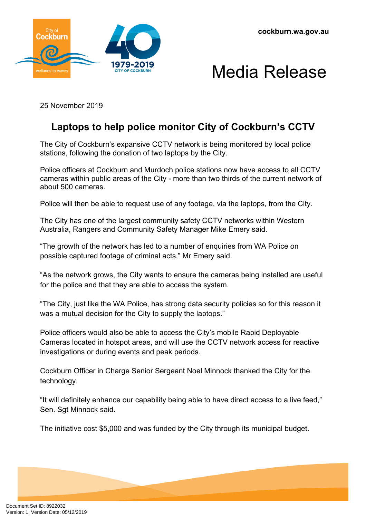**cockburn.wa.gov.au**





25 November 2019

## **Laptops to help police monitor City of Cockburn's CCTV**

The City of Cockburn's expansive CCTV network is being monitored by local police stations, following the donation of two laptops by the City.

Police officers at Cockburn and Murdoch police stations now have access to all CCTV cameras within public areas of the City - more than two thirds of the current network of about 500 cameras.

Police will then be able to request use of any footage, via the laptops, from the City.

The City has one of the largest community safety CCTV networks within Western Australia, Rangers and Community Safety Manager Mike Emery said.

"The growth of the network has led to a number of enquiries from WA Police on possible captured footage of criminal acts," Mr Emery said.

"As the network grows, the City wants to ensure the cameras being installed are useful for the police and that they are able to access the system.

"The City, just like the WA Police, has strong data security policies so for this reason it was a mutual decision for the City to supply the laptops."

Police officers would also be able to access the City's mobile Rapid Deployable Cameras located in hotspot areas, and will use the CCTV network access for reactive investigations or during events and peak periods.

Cockburn Officer in Charge Senior Sergeant Noel Minnock thanked the City for the technology.

"It will definitely enhance our capability being able to have direct access to a live feed," Sen. Sgt Minnock said.

The initiative cost \$5,000 and was funded by the City through its municipal budget.

Document Set ID: 8922032<br>Version: 1, Version Date: 05/12/2019